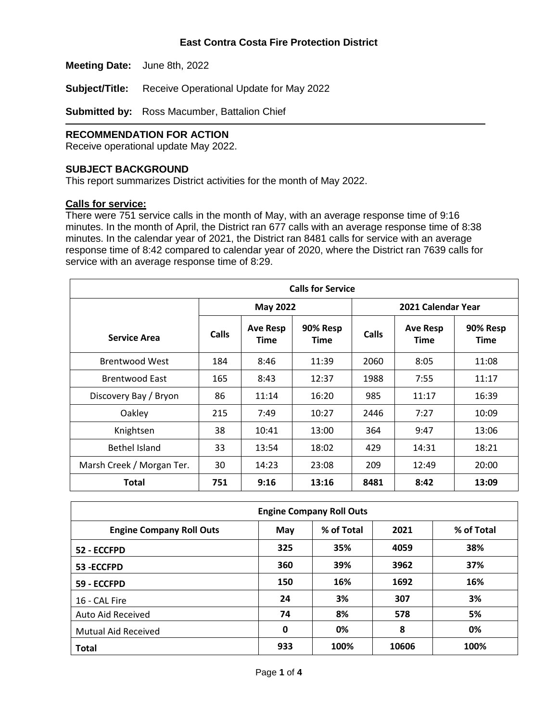**Meeting Date:** June 8th, 2022

**Subject/Title:** Receive Operational Update for May 2022

**Submitted by:** Ross Macumber, Battalion Chief

## **RECOMMENDATION FOR ACTION**

Receive operational update May 2022.

#### **SUBJECT BACKGROUND**

This report summarizes District activities for the month of May 2022.

#### **Calls for service:**

There were 751 service calls in the month of May, with an average response time of 9:16 minutes. In the month of April, the District ran 677 calls with an average response time of 8:38 minutes. In the calendar year of 2021, the District ran 8481 calls for service with an average response time of 8:42 compared to calendar year of 2020, where the District ran 7639 calls for service with an average response time of 8:29.

| <b>Calls for Service</b>  |                 |                                |                         |                    |                                |                         |
|---------------------------|-----------------|--------------------------------|-------------------------|--------------------|--------------------------------|-------------------------|
|                           | <b>May 2022</b> |                                |                         | 2021 Calendar Year |                                |                         |
| <b>Service Area</b>       | Calls           | <b>Ave Resp</b><br><b>Time</b> | 90% Resp<br><b>Time</b> | Calls              | <b>Ave Resp</b><br><b>Time</b> | 90% Resp<br><b>Time</b> |
| <b>Brentwood West</b>     | 184             | 8:46                           | 11:39                   | 2060               | 8:05                           | 11:08                   |
| <b>Brentwood East</b>     | 165             | 8:43                           | 12:37                   | 1988               | 7:55                           | 11:17                   |
| Discovery Bay / Bryon     | 86              | 11:14                          | 16:20                   | 985                | 11:17                          | 16:39                   |
| Oakley                    | 215             | 7:49                           | 10:27                   | 2446               | 7:27                           | 10:09                   |
| Knightsen                 | 38              | 10:41                          | 13:00                   | 364                | 9:47                           | 13:06                   |
| Bethel Island             | 33              | 13:54                          | 18:02                   | 429                | 14:31                          | 18:21                   |
| Marsh Creek / Morgan Ter. | 30              | 14:23                          | 23:08                   | 209                | 12:49                          | 20:00                   |
| Total                     | 751             | 9:16                           | 13:16                   | 8481               | 8:42                           | 13:09                   |

| <b>Engine Company Roll Outs</b> |     |            |       |            |  |  |
|---------------------------------|-----|------------|-------|------------|--|--|
| <b>Engine Company Roll Outs</b> | May | % of Total | 2021  | % of Total |  |  |
| 52 - ECCFPD                     | 325 | 35%        | 4059  | 38%        |  |  |
| 53-ECCFPD                       | 360 | 39%        | 3962  | 37%        |  |  |
| 59 - ECCFPD                     | 150 | 16%        | 1692  | 16%        |  |  |
| 16 - CAL Fire                   | 24  | 3%         | 307   | 3%         |  |  |
| Auto Aid Received               | 74  | 8%         | 578   | 5%         |  |  |
| <b>Mutual Aid Received</b>      | 0   | 0%         | 8     | 0%         |  |  |
| <b>Total</b>                    | 933 | 100%       | 10606 | 100%       |  |  |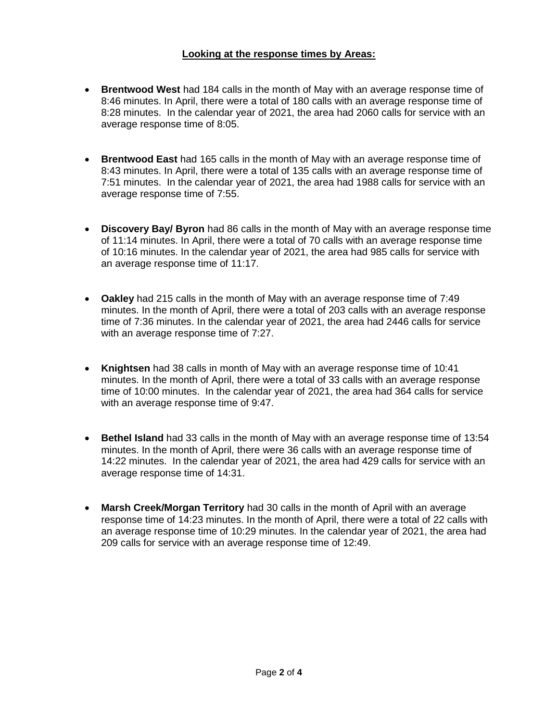### **Looking at the response times by Areas:**

- **Brentwood West** had 184 calls in the month of May with an average response time of 8:46 minutes. In April, there were a total of 180 calls with an average response time of 8:28 minutes. In the calendar year of 2021, the area had 2060 calls for service with an average response time of 8:05.
- **Brentwood East** had 165 calls in the month of May with an average response time of 8:43 minutes. In April, there were a total of 135 calls with an average response time of 7:51 minutes. In the calendar year of 2021, the area had 1988 calls for service with an average response time of 7:55.
- **Discovery Bay/ Byron** had 86 calls in the month of May with an average response time of 11:14 minutes. In April, there were a total of 70 calls with an average response time of 10:16 minutes. In the calendar year of 2021, the area had 985 calls for service with an average response time of 11:17.
- **Oakley** had 215 calls in the month of May with an average response time of 7:49 minutes. In the month of April, there were a total of 203 calls with an average response time of 7:36 minutes. In the calendar year of 2021, the area had 2446 calls for service with an average response time of 7:27.
- **Knightsen** had 38 calls in month of May with an average response time of 10:41 minutes. In the month of April, there were a total of 33 calls with an average response time of 10:00 minutes. In the calendar year of 2021, the area had 364 calls for service with an average response time of 9:47.
- **Bethel Island** had 33 calls in the month of May with an average response time of 13:54 minutes. In the month of April, there were 36 calls with an average response time of 14:22 minutes. In the calendar year of 2021, the area had 429 calls for service with an average response time of 14:31.
- **Marsh Creek/Morgan Territory** had 30 calls in the month of April with an average response time of 14:23 minutes. In the month of April, there were a total of 22 calls with an average response time of 10:29 minutes. In the calendar year of 2021, the area had 209 calls for service with an average response time of 12:49.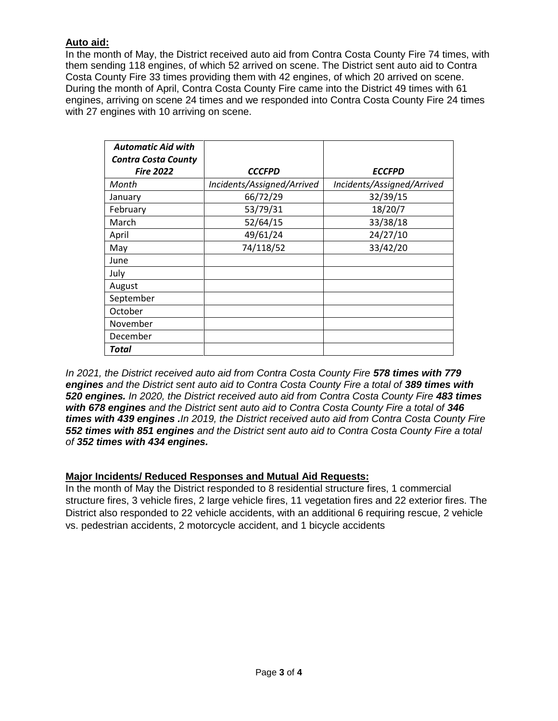## **Auto aid:**

In the month of May, the District received auto aid from Contra Costa County Fire 74 times, with them sending 118 engines, of which 52 arrived on scene. The District sent auto aid to Contra Costa County Fire 33 times providing them with 42 engines, of which 20 arrived on scene. During the month of April, Contra Costa County Fire came into the District 49 times with 61 engines, arriving on scene 24 times and we responded into Contra Costa County Fire 24 times with 27 engines with 10 arriving on scene.

| <b>Automatic Aid with</b><br><b>Contra Costa County</b> |                            |                            |
|---------------------------------------------------------|----------------------------|----------------------------|
| <b>Fire 2022</b>                                        | <b>CCCFPD</b>              | <b>ECCFPD</b>              |
| Month                                                   | Incidents/Assigned/Arrived | Incidents/Assigned/Arrived |
| January                                                 | 66/72/29                   | 32/39/15                   |
| February                                                | 53/79/31                   | 18/20/7                    |
| March                                                   | 52/64/15                   | 33/38/18                   |
| April                                                   | 49/61/24                   | 24/27/10                   |
| May                                                     | 74/118/52                  | 33/42/20                   |
| June                                                    |                            |                            |
| July                                                    |                            |                            |
| August                                                  |                            |                            |
| September                                               |                            |                            |
| October                                                 |                            |                            |
| November                                                |                            |                            |
| December                                                |                            |                            |
| Total                                                   |                            |                            |

*In 2021, the District received auto aid from Contra Costa County Fire 578 times with 779* **engines** and the District sent auto aid to Contra Costa County Fire a total of 389 times with *520 engines. In 2020, the District received auto aid from Contra Costa County Fire 483 times with 678 engines and the District sent auto aid to Contra Costa County Fire a total of 346 times with 439 engines .In 2019, the District received auto aid from Contra Costa County Fire 552 times with 851 engines and the District sent auto aid to Contra Costa County Fire a total of 352 times with 434 engines.*

## **Major Incidents/ Reduced Responses and Mutual Aid Requests:**

In the month of May the District responded to 8 residential structure fires, 1 commercial structure fires, 3 vehicle fires, 2 large vehicle fires, 11 vegetation fires and 22 exterior fires. The District also responded to 22 vehicle accidents, with an additional 6 requiring rescue, 2 vehicle vs. pedestrian accidents, 2 motorcycle accident, and 1 bicycle accidents